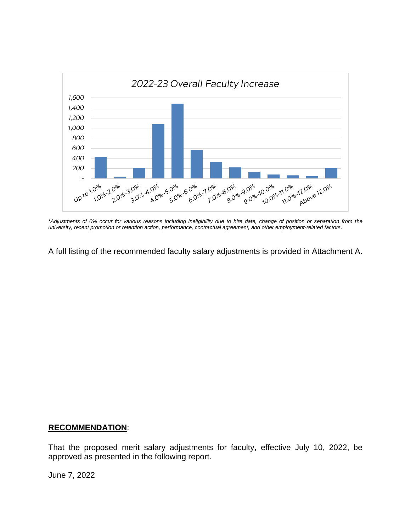

*\*Adjustments of 0% occur for various reasons including ineligibility due to hire date, change of position or separation from the university, recent promotion or retention action, performance, contractual agreement, and other employment-related factors*.

A full listing of the recommended faculty salary adjustments is provided in Attachment A.

## **RECOMMENDATION**:

That the proposed merit salary adjustments for faculty, effective July 10, 2022, be approved as presented in the following report.

June 7, 2022